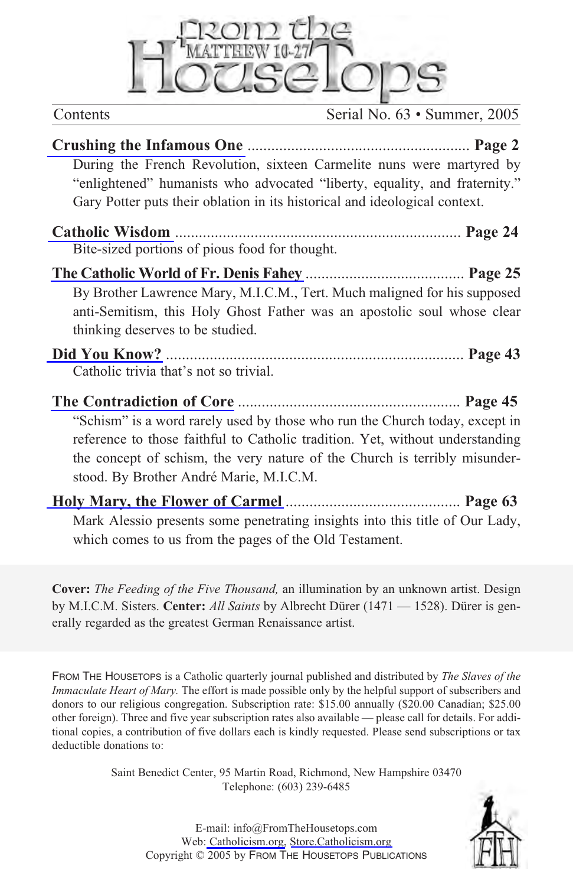

Contents Serial No. 63 • Summer, 2005

| During the French Revolution, sixteen Carmelite nuns were martyred by<br>"enlightened" humanists who advocated "liberty, equality, and fraternity."<br>Gary Potter puts their oblation in its historical and ideological context.                                                     |
|---------------------------------------------------------------------------------------------------------------------------------------------------------------------------------------------------------------------------------------------------------------------------------------|
| Bite-sized portions of pious food for thought.                                                                                                                                                                                                                                        |
| By Brother Lawrence Mary, M.I.C.M., Tert. Much maligned for his supposed<br>anti-Semitism, this Holy Ghost Father was an apostolic soul whose clear<br>thinking deserves to be studied.                                                                                               |
| Catholic trivia that's not so trivial.                                                                                                                                                                                                                                                |
| "Schism" is a word rarely used by those who run the Church today, except in<br>reference to those faithful to Catholic tradition. Yet, without understanding<br>the concept of schism, the very nature of the Church is terribly misunder-<br>stood. By Brother André Marie, M.I.C.M. |

**Holy Mary, the Flower of Carmel** ............................................ **Page 63** Mark Alessio presents some penetrating insights into this title of Our Lady, which comes to us from the pages of the Old Testament.

**Cover:** *The Feeding of the Five Thousand,* an illumination by an unknown artist. Design by M.I.C.M. Sisters. **Center:** *All Saints* by Albrecht Dürer (1471 — 1528). Dürer is generally regarded as the greatest German Renaissance artist.

FROM THE HOUSETOPS is a Catholic quarterly journal published and distributed by *The Slaves of the Immaculate Heart of Mary.* The effort is made possible only by the helpful support of subscribers and donors to our religious congregation. Subscription rate: \$15.00 annually (\$20.00 Canadian; \$25.00 other foreign). Three and five year subscription rates also available — please call for details. For additional copies, a contribution of five dollars each is kindly requested. Please send subscriptions or tax deductible donations to:

> Saint Benedict Center, 95 Martin Road, Richmond, New Hampshire 03470 Telephone: (603) 239-6485

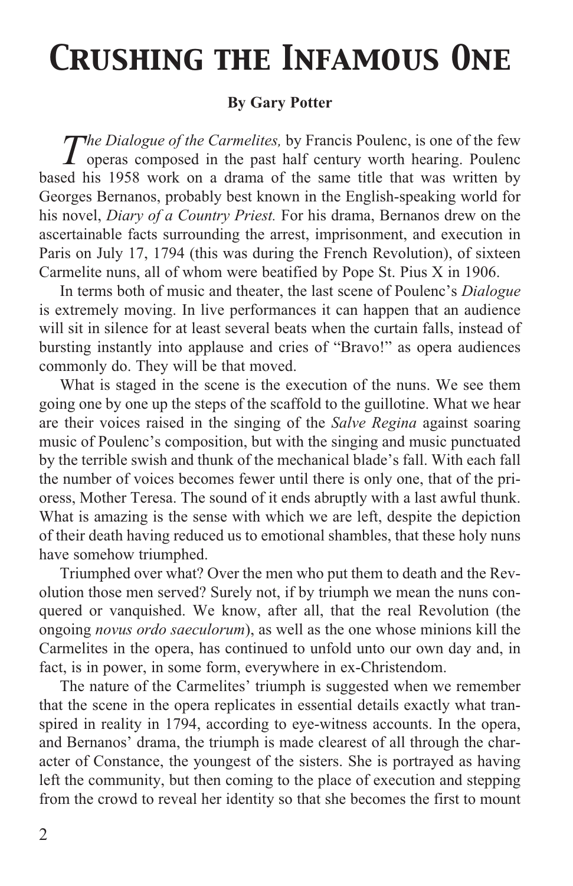## <span id="page-1-0"></span>*Crushing the Infamous One*

## **By Gary Potter**

*The Dialogue of the Carmelites,* by Francis Poulenc, is one of the few operas composed in the past half century worth hearing. Poulenc based his 1958 work on a drama of the same title that was written by Georges Bernanos, probably best known in the English-speaking world for his novel, *Diary of a Country Priest.* For his drama, Bernanos drew on the ascertainable facts surrounding the arrest, imprisonment, and execution in Paris on July 17, 1794 (this was during the French Revolution), of sixteen Carmelite nuns, all of whom were beatified by Pope St. Pius X in 1906.

In terms both of music and theater, the last scene of Poulenc's *Dialogue* is extremely moving. In live performances it can happen that an audience will sit in silence for at least several beats when the curtain falls, instead of bursting instantly into applause and cries of "Bravo!" as opera audiences commonly do. They will be that moved.

What is staged in the scene is the execution of the nuns. We see them going one by one up the steps of the scaffold to the guillotine. What we hear are their voices raised in the singing of the *Salve Regina* against soaring music of Poulenc's composition, but with the singing and music punctuated by the terrible swish and thunk of the mechanical blade's fall. With each fall the number of voices becomes fewer until there is only one, that of the prioress, Mother Teresa. The sound of it ends abruptly with a last awful thunk. What is amazing is the sense with which we are left, despite the depiction of their death having reduced us to emotional shambles, that these holy nuns have somehow triumphed.

Triumphed over what? Over the men who put them to death and the Revolution those men served? Surely not, if by triumph we mean the nuns conquered or vanquished. We know, after all, that the real Revolution (the ongoing *novus ordo saeculorum*), as well as the one whose minions kill the Carmelites in the opera, has continued to unfold unto our own day and, in fact, is in power, in some form, everywhere in ex-Christendom.

The nature of the Carmelites' triumph is suggested when we remember that the scene in the opera replicates in essential details exactly what transpired in reality in 1794, according to eye-witness accounts. In the opera, and Bernanos' drama, the triumph is made clearest of all through the character of Constance, the youngest of the sisters. She is portrayed as having left the community, but then coming to the place of execution and stepping from the crowd to reveal her identity so that she becomes the first to mount